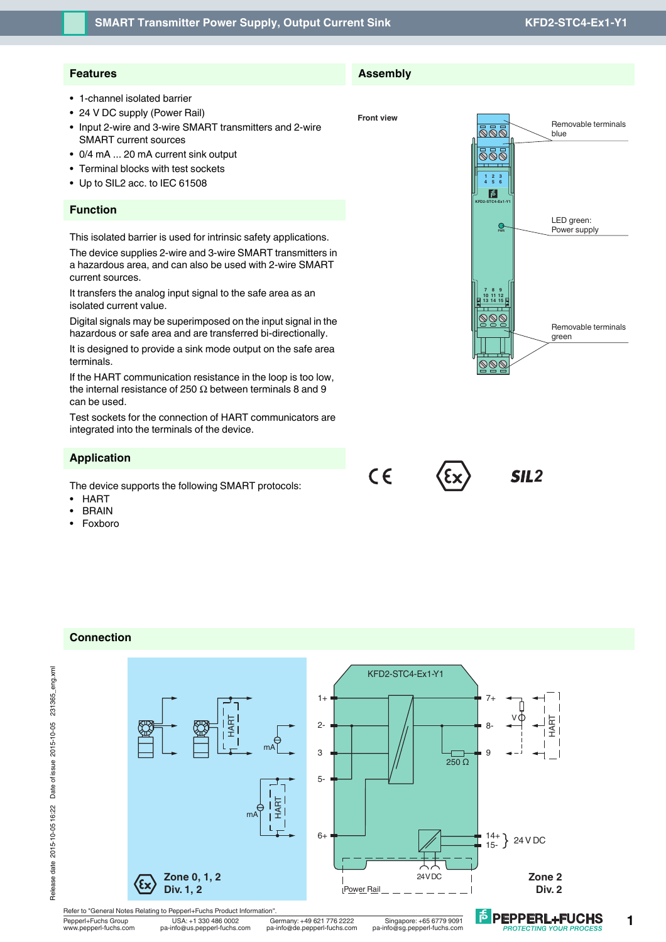### **SMART Transmitter Power Supply, Output Current Sink**

# **KFD2-STC4-Ex1-Y1**

## **Features**

- 1-channel isolated barrier
- 24 V DC supply (Power Rail)
- Input 2-wire and 3-wire SMART transmitters and 2-wire SMART current sources
- 0/4 mA ... 20 mA current sink output
- Terminal blocks with test sockets
- Up to SIL2 acc. to IEC 61508

### **Function**

This isolated barrier is used for intrinsic safety applications.

The device supplies 2-wire and 3-wire SMART transmitters in a hazardous area, and can also be used with 2-wire SMART current sources.

It transfers the analog input signal to the safe area as an isolated current value.

Digital signals may be superimposed on the input signal in the hazardous or safe area and are transferred bi-directionally.

It is designed to provide a sink mode output on the safe area terminals.

If the HART communication resistance in the loop is too low, the internal resistance of 250  $Ω$  between terminals 8 and 9 can be used.

Test sockets for the connection of HART communicators are integrated into the terminals of the device.

### **Application**

The device supports the following SMART protocols:

- HART
- **BRAIN**
- Foxboro





## **Connection**



pa-info@us.pepperl-fuchs.com

Pepperl+Fuchs Group USA: +1 330 486 0002 Germany: +49 621 776 2222 Singapore: +65 6779 9091<br>www.pepperl-fuchs.com pa-info@us.pepperl-fuchs.com pa-info@de.pepperl-fuchs.com pa-info@sg.pepperl-fuchs.com



**Front view**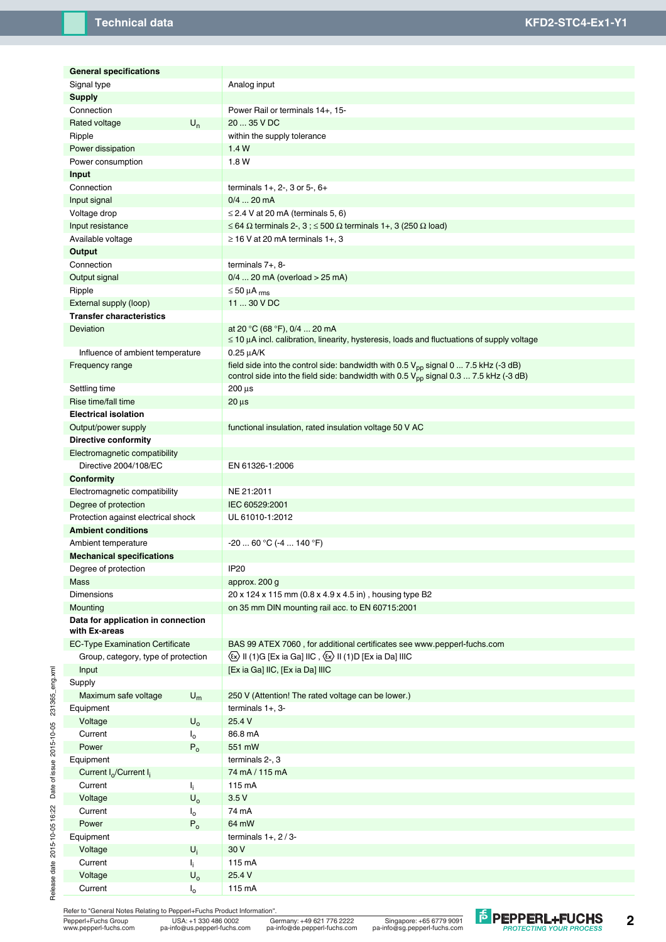| <b>General specifications</b>          |             |                                                                                                      |
|----------------------------------------|-------------|------------------------------------------------------------------------------------------------------|
| Signal type                            |             | Analog input                                                                                         |
|                                        |             |                                                                                                      |
| <b>Supply</b>                          |             |                                                                                                      |
| Connection                             |             | Power Rail or terminals 14+, 15-                                                                     |
| Rated voltage                          | $U_n$       | 20  35 V DC                                                                                          |
| Ripple                                 |             | within the supply tolerance                                                                          |
| Power dissipation                      |             | 1.4W                                                                                                 |
| Power consumption                      |             | 1.8 W                                                                                                |
| Input                                  |             |                                                                                                      |
| Connection                             |             | terminals $1+$ , $2-$ , $3$ or $5-$ , $6+$                                                           |
| Input signal                           |             | $0/4$ 20 mA                                                                                          |
| Voltage drop                           |             | $\leq$ 2.4 V at 20 mA (terminals 5, 6)                                                               |
| Input resistance                       |             | $\leq$ 64 $\Omega$ terminals 2-, 3; $\leq$ 500 $\Omega$ terminals 1+, 3 (250 $\Omega$ load)          |
| Available voltage                      |             | $\geq$ 16 V at 20 mA terminals 1+, 3                                                                 |
| Output                                 |             |                                                                                                      |
| Connection                             |             | terminals $7+, 8-$                                                                                   |
| Output signal                          |             | $0/4$ 20 mA (overload > 25 mA)                                                                       |
| Ripple                                 |             | $\leq 50 \mu A$ <sub>rms</sub>                                                                       |
| External supply (loop)                 |             | 11  30 V DC                                                                                          |
| <b>Transfer characteristics</b>        |             |                                                                                                      |
| <b>Deviation</b>                       |             | at 20 °C (68 °F), 0/4  20 mA                                                                         |
|                                        |             | $\leq$ 10 $\mu$ A incl. calibration, linearity, hysteresis, loads and fluctuations of supply voltage |
| Influence of ambient temperature       |             | $0.25 \mu A/K$                                                                                       |
| Frequency range                        |             | field side into the control side: bandwidth with 0.5 $V_{pp}$ signal 0  7.5 kHz (-3 dB)              |
|                                        |             | control side into the field side: bandwidth with $0.5 V_{\text{pp}}$ signal $0.3  7.5$ kHz (-3 dB)   |
| Settling time                          |             | $200 \,\mu s$                                                                                        |
| Rise time/fall time                    |             | $20 \mu s$                                                                                           |
| <b>Electrical isolation</b>            |             |                                                                                                      |
| Output/power supply                    |             | functional insulation, rated insulation voltage 50 V AC                                              |
| <b>Directive conformity</b>            |             |                                                                                                      |
|                                        |             |                                                                                                      |
| Electromagnetic compatibility          |             |                                                                                                      |
| Directive 2004/108/EC                  |             | EN 61326-1:2006                                                                                      |
| Conformity                             |             |                                                                                                      |
| Electromagnetic compatibility          |             | NE 21:2011                                                                                           |
| Degree of protection                   |             | IEC 60529:2001                                                                                       |
| Protection against electrical shock    |             | UL 61010-1:2012                                                                                      |
| <b>Ambient conditions</b>              |             |                                                                                                      |
| Ambient temperature                    |             | $-2060 °C (-4140 °F)$                                                                                |
| <b>Mechanical specifications</b>       |             |                                                                                                      |
| Degree of protection                   |             | <b>IP20</b>                                                                                          |
| Mass                                   |             | approx. 200 g                                                                                        |
| <b>Dimensions</b>                      |             | 20 x 124 x 115 mm (0.8 x 4.9 x 4.5 in), housing type B2                                              |
| Mounting                               |             | on 35 mm DIN mounting rail acc. to EN 60715:2001                                                     |
| Data for application in connection     |             |                                                                                                      |
| with Ex-areas                          |             |                                                                                                      |
| <b>EC-Type Examination Certificate</b> |             | BAS 99 ATEX 7060, for additional certificates see www.pepperl-fuchs.com                              |
| Group, category, type of protection    |             | $\langle x \rangle$ II (1)G [Ex ia Ga] IIC, $\langle x \rangle$ II (1)D [Ex ia Da] IIIC              |
| Input                                  |             | [Ex ia Ga] IIC, [Ex ia Da] IIIC                                                                      |
| Supply                                 |             |                                                                                                      |
| Maximum safe voltage                   | $U_m$       | 250 V (Attention! The rated voltage can be lower.)                                                   |
| Equipment                              |             | terminals $1+, 3-$                                                                                   |
| Voltage                                | $U_{o}$     | 25.4 V                                                                                               |
| Current                                | $I_{o}$     | 86.8 mA                                                                                              |
| Power                                  | $P_0$       | 551 mW                                                                                               |
| Equipment                              |             | terminals 2-, 3                                                                                      |
|                                        |             |                                                                                                      |
| Current $I_0$ /Current $I_i$           |             | 74 mA / 115 mA                                                                                       |
| Current                                | Ιĵ.,        | 115 mA                                                                                               |
| Voltage                                | $U_{o}$     | 3.5V                                                                                                 |
| Current                                | $I_0$       | 74 mA                                                                                                |
| Power                                  | $P_0$       | 64 mW                                                                                                |
| Equipment                              |             | terminals $1+$ , $2/3-$                                                                              |
| Voltage                                | $U_i$       | 30 V                                                                                                 |
| Current                                | ŀ.          | 115 mA                                                                                               |
| Voltage                                | $U_{o}$     | 25.4 V                                                                                               |
| Current                                | $I_{\circ}$ | 115 mA                                                                                               |

Refer to "General Notes Relating to Pepperl+Fuchs Product Information". Pepperl+Fuchs Group USA: +1 330 486 0002 Singapore: +65 6779 9091 Germany: +49 621 776 2222 www.pepperl-fuchs.com pa-info@us.pepperl-fuchs.com pa-info@de.pepperl-fuchs.com pa-info@sg.pepperl-fuchs.com